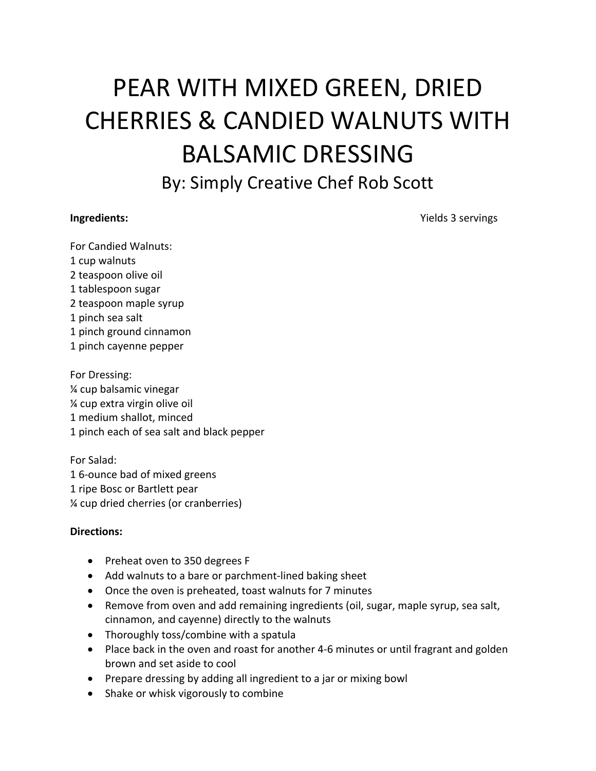## PEAR WITH MIXED GREEN, DRIED CHERRIES & CANDIED WALNUTS WITH BALSAMIC DRESSING

By: Simply Creative Chef Rob Scott

**Ingredients:** Yields 3 servings

For Candied Walnuts: 1 cup walnuts 2 teaspoon olive oil 1 tablespoon sugar 2 teaspoon maple syrup 1 pinch sea salt 1 pinch ground cinnamon 1 pinch cayenne pepper

For Dressing: ¼ cup balsamic vinegar ¼ cup extra virgin olive oil 1 medium shallot, minced 1 pinch each of sea salt and black pepper

For Salad: 1 6-ounce bad of mixed greens 1 ripe Bosc or Bartlett pear ¼ cup dried cherries (or cranberries)

## **Directions:**

- Preheat oven to 350 degrees F
- Add walnuts to a bare or parchment-lined baking sheet
- Once the oven is preheated, toast walnuts for 7 minutes
- Remove from oven and add remaining ingredients (oil, sugar, maple syrup, sea salt, cinnamon, and cayenne) directly to the walnuts
- Thoroughly toss/combine with a spatula
- Place back in the oven and roast for another 4-6 minutes or until fragrant and golden brown and set aside to cool
- Prepare dressing by adding all ingredient to a jar or mixing bowl
- Shake or whisk vigorously to combine